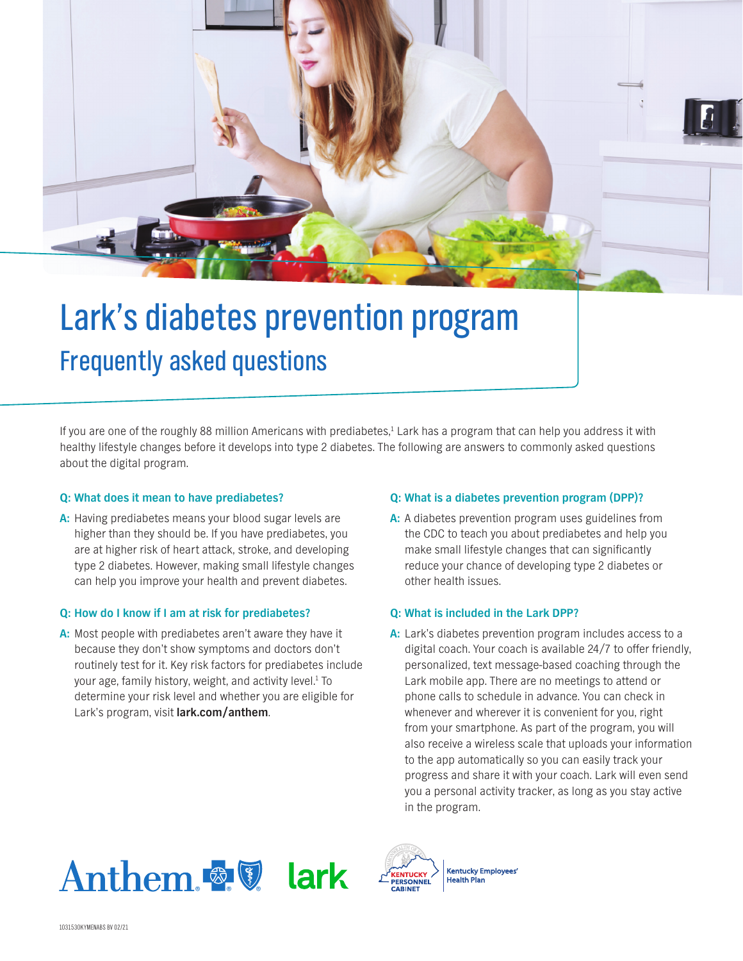

# Lark's diabetes prevention program Frequently asked questions

If you are one of the roughly 88 million Americans with prediabetes,<sup>1</sup> Lark has a program that can help you address it with healthy lifestyle changes before it develops into type 2 diabetes. The following are answers to commonly asked questions about the digital program.

## **Q: What does it mean to have prediabetes?**

**A:** Having prediabetes means your blood sugar levels are higher than they should be. If you have prediabetes, you are at higher risk of heart attack, stroke, and developing type 2 diabetes. However, making small lifestyle changes can help you improve your health and prevent diabetes.

## **Q: How do I know if I am at risk for prediabetes?**

**A:** Most people with prediabetes aren't aware they have it because they don't show symptoms and doctors don't routinely test for it. Key risk factors for prediabetes include your age, family history, weight, and activity level.<sup>1</sup> To determine your risk level and whether you are eligible for Lark's program, visit **lark.com/anthem**.

## **Q: What is a diabetes prevention program (DPP)?**

**A:** A diabetes prevention program uses guidelines from the CDC to teach you about prediabetes and help you make small lifestyle changes that can significantly reduce your chance of developing type 2 diabetes or other health issues.

## **Q: What is included in the Lark DPP?**

**A:** Lark's diabetes prevention program includes access to a digital coach. Your coach is available 24/7 to offer friendly, personalized, text message-based coaching through the Lark mobile app. There are no meetings to attend or phone calls to schedule in advance. You can check in whenever and wherever it is convenient for you, right from your smartphone. As part of the program, you will also receive a wireless scale that uploads your information to the app automatically so you can easily track your progress and share it with your coach. Lark will even send you a personal activity tracker, as long as you stay active in the program.